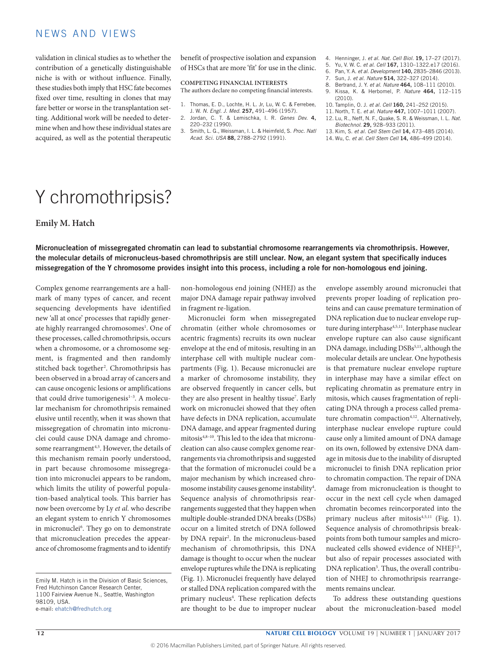## NEWS AND VIEWS

validation in clinical studies as to whether the contribution of a genetically distinguishable niche is with or without influence. Finally, these studies both imply that HSC fate becomes fixed over time, resulting in clones that may fare better or worse in the transplantation setting. Additional work will be needed to determine when and how these individual states are acquired, as well as the potential therapeutic benefit of prospective isolation and expansion of HSCs that are more 'fit' for use in the clinic.

#### **COMPETING FINANCIAL INTERESTS** The authors declare no competing financial interests.

- 1. Thomas, E. D., Lochte, H. L. Jr, Lu, W. C. & Ferrebee, J. W. *N. Engl. J. Med.* 257, 491–496 (1957).
- 2. Jordan, C. T. & Lemischka, I. R. *Genes Dev.* 4, 220–232 (1990).
- 3. Smith, L. G., Weissman, I. L. & Heimfeld, S. *Proc. Natl Acad. Sci. USA* 88, 2788–2792 (1991).
- 4. Henninger, J. *et al. Nat. Cell Biol.* 19, 17–27 (2017).
- 5. Yu, V. W. C. *et al. Cell* 167, 1310–1322.e17 (2016).
- 6. Pan, Y. A. *et al. Development* 140, 2835–2846 (2013).
- 7. Sun, J. *et al. Nature* 514, 322–327 (2014).
- 8. Bertrand, J. Y. *et al. Nature* 464, 108–111 (2010). 9. Kissa, K. & Herbomel, P. *Nature* 464, 112–115 (2010).
- 10. Tamplin, O. J. *et al. Cell* 160, 241–252 (2015).
- 11. North, T. E. *et al. Nature* 447, 1007–1011 (2007).
- 12. Lu, R., Neff, N. F., Quake, S. R. & Weissman, I. L. *Nat. Biotechnol.* 29, 928–933 (2011).
- 13. Kim, S. *et al. Cell Stem Cell* 14, 473–485 (2014). 14. Wu, C. *et al. Cell Stem Cell* 14, 486–499 (2014).

# Y chromothripsis?

**Emily M. Hatch**

Micronucleation of missegregated chromatin can lead to substantial chromosome rearrangements via chromothripsis. However, the molecular details of micronucleus-based chromothripsis are still unclear. Now, an elegant system that specifically induces missegregation of the Y chromosome provides insight into this process, including a role for non-homologous end joining.

Complex genome rearrangements are a hallmark of many types of cancer, and recent sequencing developments have identified new 'all at once' processes that rapidly generate highly rearranged chromosomes<sup>1</sup>. One of these processes, called chromothripsis, occurs when a chromosome, or a chromosome segment, is fragmented and then randomly stitched back together<sup>2</sup>. Chromothripsis has been observed in a broad array of cancers and can cause oncogenic lesions or amplifications that could drive tumorigenesis $1-3$ . A molecular mechanism for chromothripsis remained elusive until recently, when it was shown that missegregation of chromatin into micronuclei could cause DNA damage and chromosome rearrangment<sup>4,5</sup>. However, the details of this mechanism remain poorly understood, in part because chromosome missegregation into micronuclei appears to be random, which limits the utility of powerful population-based analytical tools. This barrier has now been overcome by Ly *et al.* who describe an elegant system to enrich Y chromosomes in micronuclei<sup>6</sup>. They go on to demonstrate that micronucleation precedes the appearance of chromosome fragments and to identify

non-homologous end joining (NHEJ) as the major DNA damage repair pathway involved in fragment re-ligation.

Micronuclei form when missegregated chromatin (either whole chromosomes or acentric fragments) recruits its own nuclear envelope at the end of mitosis, resulting in an interphase cell with multiple nuclear compartments (Fig. 1). Because micronuclei are a marker of chromosome instability, they are observed frequently in cancer cells, but they are also present in healthy tissue<sup>7</sup>. Early work on micronuclei showed that they often have defects in DNA replication, accumulate DNA damage, and appear fragmented during mitosis4,8–10. This led to the idea that micronucleation can also cause complex genome rearrangements via chromothripsis and suggested that the formation of micronuclei could be a major mechanism by which increased chromosome instability causes genome instability<sup>4</sup>. Sequence analysis of chromothripsis rearrangements suggested that they happen when multiple double-stranded DNA breaks (DSBs) occur on a limited stretch of DNA followed by DNA repair<sup>2</sup>. In the micronucleus-based mechanism of chromothripsis, this DNA damage is thought to occur when the nuclear envelope ruptures while the DNA is replicating (Fig. 1). Micronuclei frequently have delayed or stalled DNA replication compared with the primary nucleus<sup>4</sup>. These replication defects are thought to be due to improper nuclear

envelope assembly around micronuclei that prevents proper loading of replication proteins and can cause premature termination of DNA replication due to nuclear envelope rupture during interphase<sup>4,5,11</sup>. Interphase nuclear envelope rupture can also cause significant DNA damage, including DSBs<sup>5,11</sup>, although the molecular details are unclear. One hypothesis is that premature nuclear envelope rupture in interphase may have a similar effect on replicating chromatin as premature entry in mitosis, which causes fragmentation of replicating DNA through a process called premature chromatin compaction<sup>4,12</sup>. Alternatively, interphase nuclear envelope rupture could cause only a limited amount of DNA damage on its own, followed by extensive DNA damage in mitosis due to the inability of disrupted micronuclei to finish DNA replication prior to chromatin compaction. The repair of DNA damage from micronucleation is thought to occur in the next cell cycle when damaged chromatin becomes reincorporated into the primary nucleus after mitosis<sup>4,5,11</sup> (Fig. 1). Sequence analysis of chromothripsis breakpoints from both tumour samples and micronucleated cells showed evidence of NHEJ<sup>2,5</sup>, but also of repair processes associated with DNA replication<sup>5</sup>. Thus, the overall contribution of NHEJ to chromothripsis rearrangements remains unclear.

To address these outstanding questions about the micronucleation-based model

Emily M. Hatch is in the Division of Basic Sciences, Fred Hutchinson Cancer Research Center, 1100 Fairview Avenue N., Seattle, Washington 98109, USA. e-mail: [ehatch@fredhutch.org](mailto:ehatch@fredhutch.org)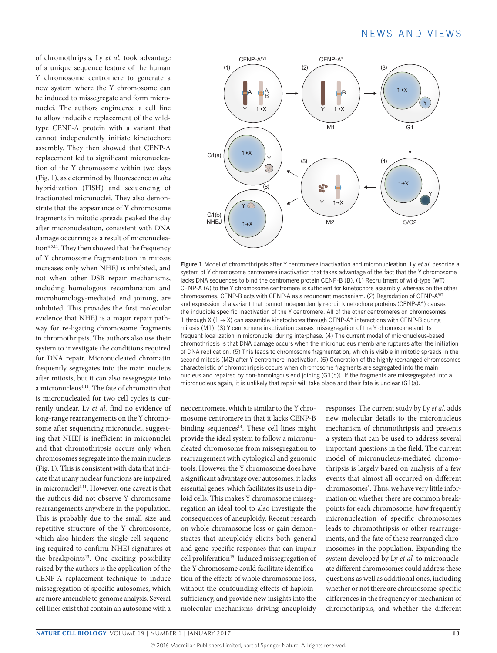### NEWS AND VIEWS

of chromothripsis, Ly *et al.* took advantage of a unique sequence feature of the human Y chromosome centromere to generate a new system where the Y chromosome can be induced to missegregate and form micronuclei. The authors engineered a cell line to allow inducible replacement of the wildtype CENP-A protein with a variant that cannot independently initiate kinetochore assembly. They then showed that CENP-A replacement led to significant micronucleation of the Y chromosome within two days (Fig. 1), as determined by fluorescence *in situ*  hybridization (FISH) and sequencing of fractionated micronuclei. They also demonstrate that the appearance of Y chromosome fragments in mitotic spreads peaked the day after micronucleation, consistent with DNA damage occurring as a result of micronucleation<sup>4,5,11</sup>. They then showed that the frequency of Y chromosome fragmentation in mitosis increases only when NHEJ is inhibited, and not when other DSB repair mechanisms, including homologous recombination and microhomology-mediated end joining, are inhibited. This provides the first molecular evidence that NHEJ is a major repair pathway for re-ligating chromosome fragments in chromothripsis. The authors also use their system to investigate the conditions required for DNA repair. Micronucleated chromatin frequently segregates into the main nucleus after mitosis, but it can also resegregate into a micronucleus<sup>4,11</sup>. The fate of chromatin that is micronucleated for two cell cycles is currently unclear. Ly *et al.* find no evidence of long-range rearrangements on the Y chromosome after sequencing micronuclei, suggesting that NHEJ is inefficient in micronuclei and that chromothripsis occurs only when chromosomes segregate into the main nucleus (Fig. 1). This is consistent with data that indicate that many nuclear functions are impaired in micronuclei4,11. However, one caveat is that the authors did not observe Y chromosome rearrangements anywhere in the population. This is probably due to the small size and repetitive structure of the Y chromosome, which also hinders the single-cell sequencing required to confirm NHEJ signatures at the breakpoints<sup>13</sup>. One exciting possibility raised by the authors is the application of the CENP-A replacement technique to induce missegregation of specific autosomes, which are more amenable to genome analysis. Several cell lines exist that contain an autosome with a



Figure 1 Model of chromothripsis after Y centromere inactivation and micronucleation. Ly *et al.* describe a system of Y chromosome centromere inactivation that takes advantage of the fact that the Y chromosome lacks DNA sequences to bind the centromere protein CENP-B (B). (1) Recruitment of wild-type (WT) CENP-A (A) to the Y chromosome centromere is sufficient for kinetochore assembly, whereas on the other chromosomes, CENP-B acts with CENP-A as a redundant mechanism. (2) Degradation of CENP-A<sup>WT</sup> and expression of a variant that cannot independently recruit kinetochore proteins (CENP-A\*) causes the inducible specific inactivation of the Y centromere. All of the other centromeres on chromosomes 1 through X (1  $\rightarrow$  X) can assemble kinetochores through CENP-A\* interactions with CENP-B during mitosis (M1). (3) Y centromere inactivation causes missegregation of the Y chromosome and its frequent localization in micronuclei during interphase. (4) The current model of micronucleus-based chromothripsis is that DNA damage occurs when the micronucleus membrane ruptures after the initiation of DNA replication. (5) This leads to chromosome fragmentation, which is visible in mitotic spreads in the second mitosis (M2) after Y centromere inactivation. (6) Generation of the highly rearranged chromosomes characteristic of chromothripsis occurs when chromosome fragments are segregated into the main nucleus and repaired by non-homologous end joining (G1(b)). If the fragments are missegregated into a micronucleus again, it is unlikely that repair will take place and their fate is unclear (G1(a).

neocentromere, which is similar to the Y chromosome centromere in that it lacks CENP-B binding sequences $14$ . These cell lines might provide the ideal system to follow a micronucleated chromosome from missegregation to rearrangement with cytological and genomic tools. However, the Y chromosome does have a significant advantage over autosomes: it lacks essential genes, which facilitates its use in diploid cells. This makes Y chromosome missegregation an ideal tool to also investigate the consequences of aneuploidy. Recent research on whole chromosome loss or gain demonstrates that aneuploidy elicits both general and gene-specific responses that can impair cell proliferation<sup>15</sup>. Induced missegregation of the Y chromosome could facilitate identification of the effects of whole chromosome loss, without the confounding effects of haploinsufficiency, and provide new insights into the molecular mechanisms driving aneuploidy responses. The current study by Ly *et al.* adds new molecular details to the micronucleus mechanism of chromothripsis and presents a system that can be used to address several important questions in the field. The current model of micronucleus-mediated chromothripsis is largely based on analysis of a few events that almost all occurred on different chromosomes<sup>5</sup>. Thus, we have very little information on whether there are common breakpoints for each chromosome, how frequently micronucleation of specific chromosomes leads to chromothripsis or other rearrangements, and the fate of these rearranged chromosomes in the population. Expanding the system developed by Ly *et al.* to micronucleate different chromosomes could address these questions as well as additional ones, including whether or not there are chromosome-specific differences in the frequency or mechanism of chromothripsis, and whether the different